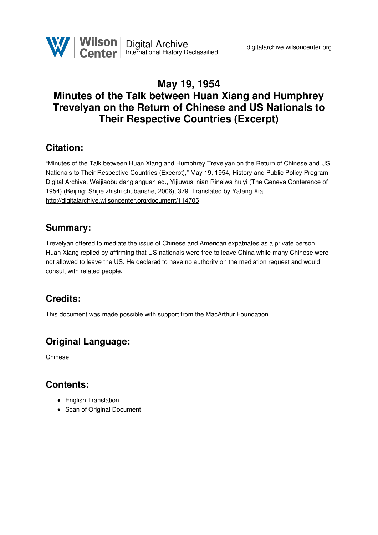## **May 19, 1954 Minutes of the Talk between Huan Xiang and Humphrey Trevelyan on the Return of Chinese and US Nationals to Their Respective Countries (Excerpt)**

#### **Citation:**

"Minutes of the Talk between Huan Xiang and Humphrey Trevelyan on the Return of Chinese and US Nationals to Their Respective Countries (Excerpt)," May 19, 1954, History and Public Policy Program Digital Archive, Waijiaobu dang'anguan ed., Yijiuwusi nian Rineiwa huiyi (The Geneva Conference of 1954) (Beijing: Shijie zhishi chubanshe, 2006), 379. Translated by Yafeng Xia. <http://digitalarchive.wilsoncenter.org/document/114705>

#### **Summary:**

Trevelyan offered to mediate the issue of Chinese and American expatriates as a private person. Huan Xiang replied by affirming that US nationals were free to leave China while many Chinese were not allowed to leave the US. He declared to have no authority on the mediation request and would consult with related people.

# **Credits:**

This document was made possible with support from the MacArthur Foundation.

## **Original Language:**

Chinese

#### **Contents:**

- English Translation
- Scan of Original Document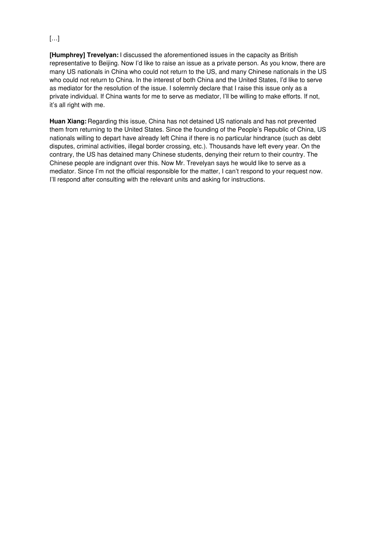#### $[\ldots]$

**[Humphrey] Trevelyan:** I discussed the aforementioned issues in the capacity as British representative to Beijing. Now I'd like to raise an issue as a private person. As you know, there are many US nationals in China who could not return to the US, and many Chinese nationals in the US who could not return to China. In the interest of both China and the United States, I'd like to serve as mediator for the resolution of the issue. I solemnly declare that I raise this issue only as a private individual. If China wants for me to serve as mediator, I'll be willing to make efforts. If not, it's all right with me.

**Huan Xiang:** Regarding this issue, China has not detained US nationals and has not prevented them from returning to the United States. Since the founding of the People's Republic of China, US nationals willing to depart have already left China if there is no particular hindrance (such as debt disputes, criminal activities, illegal border crossing, etc.). Thousands have left every year. On the contrary, the US has detained many Chinese students, denying their return to their country. The Chinese people are indignant over this. Now Mr. Trevelyan says he would like to serve as a mediator. Since I'm not the official responsible for the matter, I can't respond to your request now. I'll respond after consulting with the relevant units and asking for instructions.